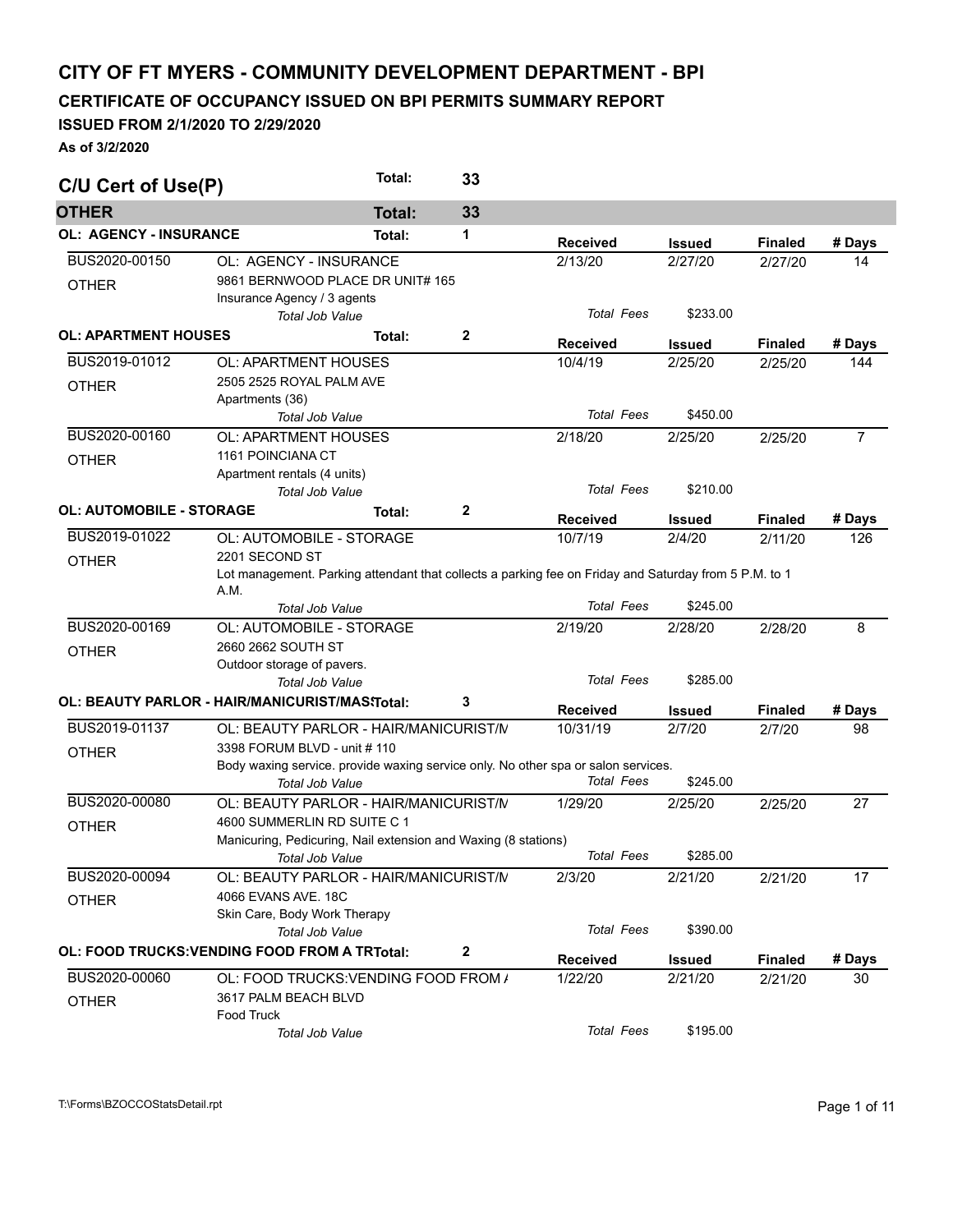## **CITY OF FT MYERS - COMMUNITY DEVELOPMENT DEPARTMENT - BPI**

**CERTIFICATE OF OCCUPANCY ISSUED ON BPI PERMITS SUMMARY REPORT** 

## **ISSUED FROM 2/1/2020 TO 2/29/2020**

**As of 3/2/2020** 

| C/U Cert of Use(P)              |                                                                                                       | Total:        | 33           |                             |                         |                          |                |
|---------------------------------|-------------------------------------------------------------------------------------------------------|---------------|--------------|-----------------------------|-------------------------|--------------------------|----------------|
| <b>OTHER</b>                    |                                                                                                       | <b>Total:</b> | 33           |                             |                         |                          |                |
| <b>OL: AGENCY - INSURANCE</b>   |                                                                                                       | Total:        | 1            | <b>Received</b>             | Issued                  | <b>Finaled</b>           | # Days         |
| BUS2020-00150                   | OL: AGENCY - INSURANCE                                                                                |               |              | 2/13/20                     | 2/27/20                 | 2/27/20                  | 14             |
| <b>OTHER</b>                    | 9861 BERNWOOD PLACE DR UNIT# 165                                                                      |               |              |                             |                         |                          |                |
|                                 | Insurance Agency / 3 agents                                                                           |               |              |                             |                         |                          |                |
|                                 | <b>Total Job Value</b>                                                                                |               |              | <b>Total Fees</b>           | \$233.00                |                          |                |
| <b>OL: APARTMENT HOUSES</b>     |                                                                                                       | Total:        | $\mathbf{2}$ | <b>Received</b>             | <b>Issued</b>           | <b>Finaled</b>           | # Days         |
| BUS2019-01012                   | <b>OL: APARTMENT HOUSES</b>                                                                           |               |              | 10/4/19                     | 2/25/20                 | 2/25/20                  | 144            |
| <b>OTHER</b>                    | 2505 2525 ROYAL PALM AVE                                                                              |               |              |                             |                         |                          |                |
|                                 | Apartments (36)                                                                                       |               |              |                             |                         |                          |                |
|                                 | <b>Total Job Value</b>                                                                                |               |              | <b>Total Fees</b>           | \$450.00                |                          |                |
| BUS2020-00160                   | OL: APARTMENT HOUSES                                                                                  |               |              | 2/18/20                     | 2/25/20                 | 2/25/20                  | $\overline{7}$ |
| <b>OTHER</b>                    | 1161 POINCIANA CT                                                                                     |               |              |                             |                         |                          |                |
|                                 | Apartment rentals (4 units)                                                                           |               |              |                             |                         |                          |                |
|                                 | <b>Total Job Value</b>                                                                                |               |              | <b>Total Fees</b>           | \$210.00                |                          |                |
| <b>OL: AUTOMOBILE - STORAGE</b> |                                                                                                       | Total:        | $\mathbf{2}$ | <b>Received</b>             | <b>Issued</b>           | <b>Finaled</b>           | # Days         |
| BUS2019-01022                   | OL: AUTOMOBILE - STORAGE                                                                              |               |              | 10/7/19                     | 2/4/20                  | 2/11/20                  | 126            |
| <b>OTHER</b>                    | 2201 SECOND ST                                                                                        |               |              |                             |                         |                          |                |
|                                 | Lot management. Parking attendant that collects a parking fee on Friday and Saturday from 5 P.M. to 1 |               |              |                             |                         |                          |                |
|                                 | A.M.                                                                                                  |               |              |                             |                         |                          |                |
|                                 | <b>Total Job Value</b>                                                                                |               |              | <b>Total Fees</b>           | \$245.00                |                          |                |
| BUS2020-00169                   | OL: AUTOMOBILE - STORAGE                                                                              |               |              | 2/19/20                     | 2/28/20                 | 2/28/20                  | 8              |
| <b>OTHER</b>                    | 2660 2662 SOUTH ST                                                                                    |               |              |                             |                         |                          |                |
|                                 | Outdoor storage of pavers.                                                                            |               |              |                             |                         |                          |                |
|                                 | <b>Total Job Value</b>                                                                                |               |              | <b>Total Fees</b>           | \$285.00                |                          |                |
|                                 | OL: BEAUTY PARLOR - HAIR/MANICURIST/MAS\Total:                                                        |               | 3            |                             |                         |                          |                |
| BUS2019-01137                   | OL: BEAUTY PARLOR - HAIR/MANICURIST/N                                                                 |               |              | <b>Received</b><br>10/31/19 | <b>Issued</b><br>2/7/20 | <b>Finaled</b><br>2/7/20 | # Days<br>98   |
|                                 | 3398 FORUM BLVD - unit # 110                                                                          |               |              |                             |                         |                          |                |
| <b>OTHER</b>                    | Body waxing service. provide waxing service only. No other spa or salon services.                     |               |              |                             |                         |                          |                |
|                                 | <b>Total Job Value</b>                                                                                |               |              | <b>Total Fees</b>           | \$245.00                |                          |                |
| BUS2020-00080                   | OL: BEAUTY PARLOR - HAIR/MANICURIST/N                                                                 |               |              | 1/29/20                     | 2/25/20                 |                          | 27             |
|                                 |                                                                                                       |               |              |                             |                         | 2/25/20                  |                |
| <b>OTHER</b>                    | 4600 SUMMERLIN RD SUITE C 1                                                                           |               |              |                             |                         |                          |                |
|                                 | Manicuring, Pedicuring, Nail extension and Waxing (8 stations)                                        |               |              | <b>Total Fees</b>           | \$285.00                |                          |                |
|                                 | <b>Total Job Value</b>                                                                                |               |              |                             |                         |                          |                |
| BUS2020-00094                   | OL: BEAUTY PARLOR - HAIR/MANICURIST/N                                                                 |               |              | 2/3/20                      | 2/21/20                 | 2/21/20                  | 17             |
| <b>OTHER</b>                    | 4066 EVANS AVE, 18C                                                                                   |               |              |                             |                         |                          |                |
|                                 | Skin Care, Body Work Therapy                                                                          |               |              |                             |                         |                          |                |
|                                 | <b>Total Job Value</b>                                                                                |               |              | <b>Total Fees</b>           | \$390.00                |                          |                |
|                                 | OL: FOOD TRUCKS: VENDING FOOD FROM A TRTotal:                                                         |               | $\mathbf{2}$ | <b>Received</b>             | <b>Issued</b>           | <b>Finaled</b>           | # Days         |
| BUS2020-00060                   | OL: FOOD TRUCKS: VENDING FOOD FROM /                                                                  |               |              | 1/22/20                     | 2/21/20                 | 2/21/20                  | 30             |
|                                 | 3617 PALM BEACH BLVD                                                                                  |               |              |                             |                         |                          |                |
| <b>OTHER</b>                    | Food Truck                                                                                            |               |              |                             |                         |                          |                |
|                                 | Total Job Value                                                                                       |               |              | <b>Total Fees</b>           | \$195.00                |                          |                |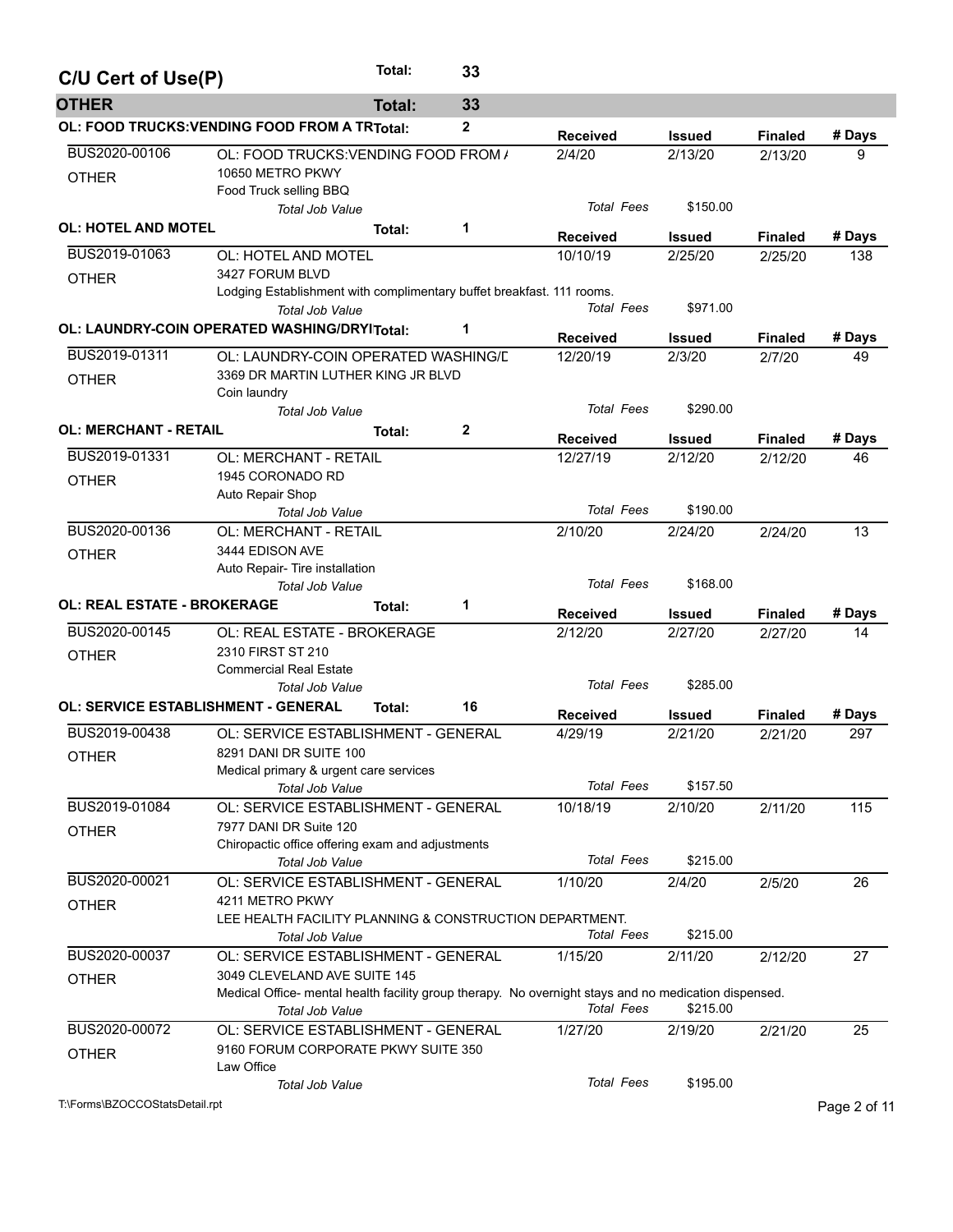| C/U Cert of Use(P)                 |                                                                                                                                       | Total:        | 33          |                   |               |                |              |
|------------------------------------|---------------------------------------------------------------------------------------------------------------------------------------|---------------|-------------|-------------------|---------------|----------------|--------------|
| <b>OTHER</b>                       |                                                                                                                                       | <b>Total:</b> | 33          |                   |               |                |              |
|                                    | OL: FOOD TRUCKS: VENDING FOOD FROM A TRTotal:                                                                                         |               | 2           | <b>Received</b>   | <b>Issued</b> | <b>Finaled</b> | # Days       |
| BUS2020-00106<br><b>OTHER</b>      | OL: FOOD TRUCKS: VENDING FOOD FROM /<br>10650 METRO PKWY                                                                              |               |             | 2/4/20            | 2/13/20       | 2/13/20        | 9            |
|                                    | Food Truck selling BBQ<br><b>Total Job Value</b>                                                                                      |               |             | <b>Total Fees</b> | \$150.00      |                |              |
| <b>OL: HOTEL AND MOTEL</b>         |                                                                                                                                       | Total:        | 1           | <b>Received</b>   | <b>Issued</b> | <b>Finaled</b> | # Days       |
| BUS2019-01063                      | OL: HOTEL AND MOTEL                                                                                                                   |               |             | 10/10/19          | 2/25/20       | 2/25/20        | 138          |
| <b>OTHER</b>                       | 3427 FORUM BLVD<br>Lodging Establishment with complimentary buffet breakfast. 111 rooms.<br><b>Total Job Value</b>                    |               |             | <b>Total Fees</b> | \$971.00      |                |              |
|                                    | <b>OL: LAUNDRY-COIN OPERATED WASHING/DRYITotal:</b>                                                                                   |               | 1           | <b>Received</b>   | <b>Issued</b> | <b>Finaled</b> | # Days       |
| BUS2019-01311                      | OL: LAUNDRY-COIN OPERATED WASHING/L                                                                                                   |               |             | 12/20/19          | 2/3/20        | 2/7/20         | 49           |
| <b>OTHER</b>                       | 3369 DR MARTIN LUTHER KING JR BLVD<br>Coin laundry                                                                                    |               |             |                   |               |                |              |
|                                    | <b>Total Job Value</b>                                                                                                                |               |             | <b>Total Fees</b> | \$290.00      |                |              |
| <b>OL: MERCHANT - RETAIL</b>       |                                                                                                                                       | Total:        | $\mathbf 2$ | <b>Received</b>   | <b>Issued</b> | <b>Finaled</b> | # Days       |
| BUS2019-01331                      | OL: MERCHANT - RETAIL                                                                                                                 |               |             | 12/27/19          | 2/12/20       | 2/12/20        | 46           |
| <b>OTHER</b>                       | 1945 CORONADO RD                                                                                                                      |               |             |                   |               |                |              |
|                                    | Auto Repair Shop<br><b>Total Job Value</b>                                                                                            |               |             | <b>Total Fees</b> | \$190.00      |                |              |
| BUS2020-00136                      | <b>OL: MERCHANT - RETAIL</b>                                                                                                          |               |             | 2/10/20           | 2/24/20       | 2/24/20        | 13           |
| <b>OTHER</b>                       | 3444 EDISON AVE<br>Auto Repair- Tire installation<br><b>Total Job Value</b>                                                           |               |             | <b>Total Fees</b> | \$168.00      |                |              |
| <b>OL: REAL ESTATE - BROKERAGE</b> |                                                                                                                                       | Total:        | 1           | <b>Received</b>   | <b>Issued</b> | <b>Finaled</b> | # Days       |
| BUS2020-00145                      | OL: REAL ESTATE - BROKERAGE                                                                                                           |               |             | 2/12/20           | 2/27/20       | 2/27/20        | 14           |
| <b>OTHER</b>                       | 2310 FIRST ST 210                                                                                                                     |               |             |                   |               |                |              |
|                                    | <b>Commercial Real Estate</b>                                                                                                         |               |             |                   |               |                |              |
|                                    | <b>Total Job Value</b>                                                                                                                |               |             | <b>Total Fees</b> | \$285.00      |                |              |
|                                    | <b>OL: SERVICE ESTABLISHMENT - GENERAL</b>                                                                                            | Total:        | 16          | <b>Received</b>   | <b>Issued</b> | <b>Finaled</b> | # Days       |
| BUS2019-00438                      | OL: SERVICE ESTABLISHMENT - GENERAL                                                                                                   |               |             | 4/29/19           | 2/21/20       | 2/21/20        | 297          |
| <b>OTHER</b>                       | 8291 DANI DR SUITE 100<br>Medical primary & urgent care services<br><b>Total Job Value</b>                                            |               |             | <b>Total Fees</b> | \$157.50      |                |              |
| BUS2019-01084                      | OL: SERVICE ESTABLISHMENT - GENERAL                                                                                                   |               |             | 10/18/19          | 2/10/20       | 2/11/20        | 115          |
| <b>OTHER</b>                       | 7977 DANI DR Suite 120<br>Chiropactic office offering exam and adjustments                                                            |               |             |                   |               |                |              |
|                                    | Total Job Value                                                                                                                       |               |             | <b>Total Fees</b> | \$215.00      |                |              |
| BUS2020-00021                      | OL: SERVICE ESTABLISHMENT - GENERAL                                                                                                   |               |             | 1/10/20           | 2/4/20        | 2/5/20         | 26           |
| <b>OTHER</b>                       | 4211 METRO PKWY<br>LEE HEALTH FACILITY PLANNING & CONSTRUCTION DEPARTMENT.<br><b>Total Job Value</b>                                  |               |             | <b>Total Fees</b> | \$215.00      |                |              |
| BUS2020-00037                      | OL: SERVICE ESTABLISHMENT - GENERAL                                                                                                   |               |             | 1/15/20           | 2/11/20       | 2/12/20        | 27           |
| <b>OTHER</b>                       | 3049 CLEVELAND AVE SUITE 145<br>Medical Office- mental health facility group therapy. No overnight stays and no medication dispensed. |               |             |                   |               |                |              |
|                                    | Total Job Value                                                                                                                       |               |             | <b>Total Fees</b> | \$215.00      |                |              |
| BUS2020-00072<br><b>OTHER</b>      | OL: SERVICE ESTABLISHMENT - GENERAL<br>9160 FORUM CORPORATE PKWY SUITE 350                                                            |               |             | 1/27/20           | 2/19/20       | 2/21/20        | 25           |
|                                    | Law Office<br><b>Total Job Value</b>                                                                                                  |               |             | <b>Total Fees</b> | \$195.00      |                |              |
| T:\Forms\BZOCCOStatsDetail.rpt     |                                                                                                                                       |               |             |                   |               |                | Page 2 of 11 |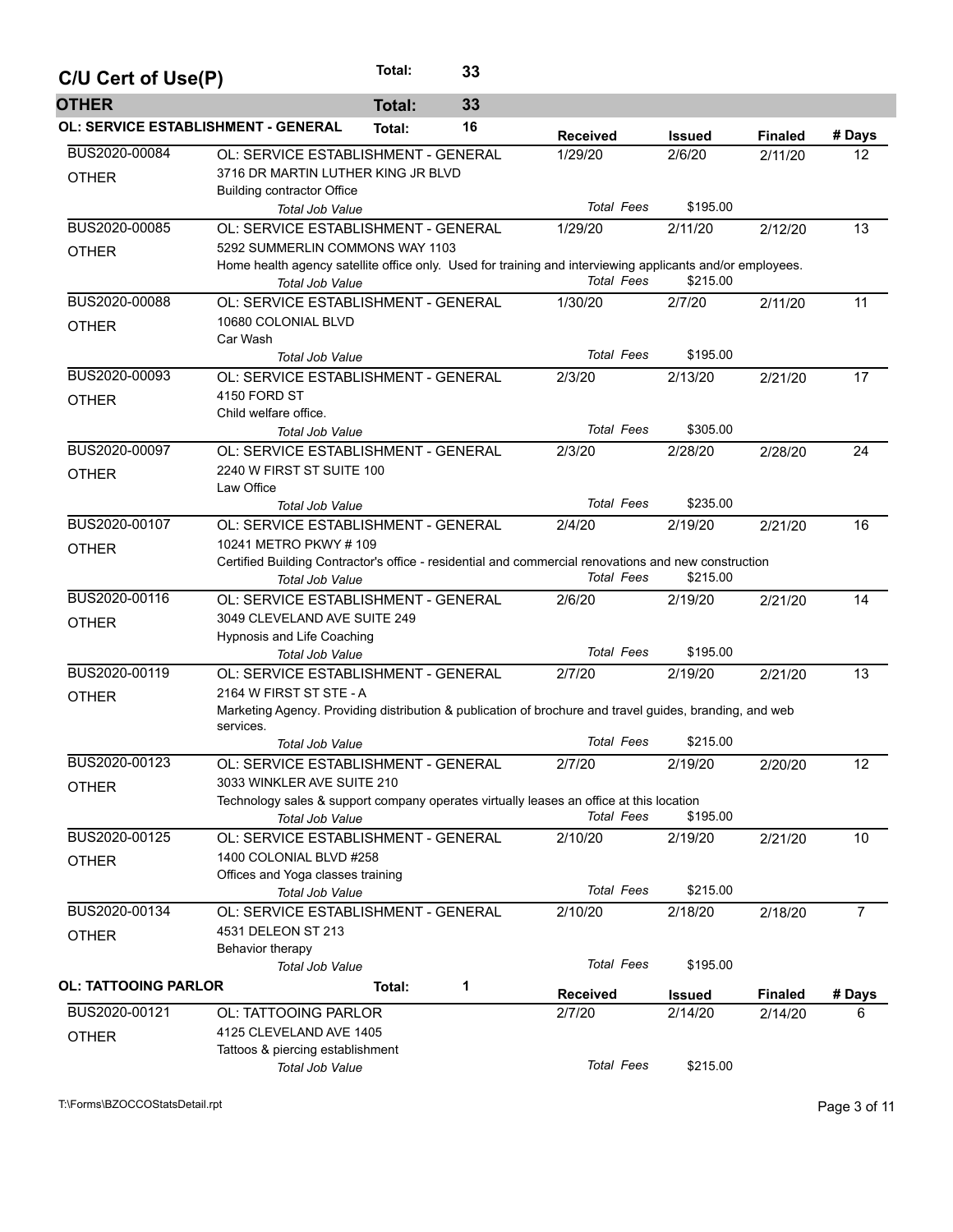| C/U Cert of Use(P)                         |                                                                                                                                                 | Total:        | 33 |                   |               |                |                |  |  |  |  |
|--------------------------------------------|-------------------------------------------------------------------------------------------------------------------------------------------------|---------------|----|-------------------|---------------|----------------|----------------|--|--|--|--|
| <b>OTHER</b>                               |                                                                                                                                                 | <b>Total:</b> | 33 |                   |               |                |                |  |  |  |  |
| <b>OL: SERVICE ESTABLISHMENT - GENERAL</b> |                                                                                                                                                 | Total:        | 16 | <b>Received</b>   | Issued        | <b>Finaled</b> | # Days         |  |  |  |  |
| BUS2020-00084<br><b>OTHER</b>              | OL: SERVICE ESTABLISHMENT - GENERAL<br>3716 DR MARTIN LUTHER KING JR BLVD                                                                       |               |    | 1/29/20           | 2/6/20        | 2/11/20        | 12             |  |  |  |  |
|                                            | <b>Building contractor Office</b><br><b>Total Job Value</b>                                                                                     |               |    | <b>Total Fees</b> | \$195.00      |                |                |  |  |  |  |
| BUS2020-00085                              | OL: SERVICE ESTABLISHMENT - GENERAL                                                                                                             |               |    | 1/29/20           | 2/11/20       | 2/12/20        | 13             |  |  |  |  |
|                                            | 5292 SUMMERLIN COMMONS WAY 1103                                                                                                                 |               |    |                   |               |                |                |  |  |  |  |
| <b>OTHER</b>                               | Home health agency satellite office only. Used for training and interviewing applicants and/or employees.<br><b>Total Job Value</b>             |               |    | <b>Total Fees</b> | \$215.00      |                |                |  |  |  |  |
| BUS2020-00088                              | OL: SERVICE ESTABLISHMENT - GENERAL                                                                                                             |               |    | 1/30/20           | 2/7/20        | 2/11/20        | 11             |  |  |  |  |
| <b>OTHER</b>                               | 10680 COLONIAL BLVD<br>Car Wash                                                                                                                 |               |    |                   |               |                |                |  |  |  |  |
|                                            | <b>Total Job Value</b>                                                                                                                          |               |    | <b>Total Fees</b> | \$195.00      |                |                |  |  |  |  |
| BUS2020-00093                              | OL: SERVICE ESTABLISHMENT - GENERAL                                                                                                             |               |    | 2/3/20            | 2/13/20       | 2/21/20        | 17             |  |  |  |  |
| <b>OTHER</b>                               | 4150 FORD ST                                                                                                                                    |               |    |                   |               |                |                |  |  |  |  |
|                                            | Child welfare office.                                                                                                                           |               |    | <b>Total Fees</b> | \$305.00      |                |                |  |  |  |  |
| BUS2020-00097                              | <b>Total Job Value</b>                                                                                                                          |               |    |                   | 2/28/20       |                |                |  |  |  |  |
| <b>OTHER</b>                               | OL: SERVICE ESTABLISHMENT - GENERAL<br>2240 W FIRST ST SUITE 100<br>Law Office                                                                  |               |    | 2/3/20            |               | 2/28/20        | 24             |  |  |  |  |
|                                            | <b>Total Job Value</b>                                                                                                                          |               |    | <b>Total Fees</b> | \$235.00      |                |                |  |  |  |  |
| BUS2020-00107                              | OL: SERVICE ESTABLISHMENT - GENERAL                                                                                                             |               |    | 2/4/20            | 2/19/20       | 2/21/20        | 16             |  |  |  |  |
| <b>OTHER</b>                               | 10241 METRO PKWY # 109                                                                                                                          |               |    |                   |               |                |                |  |  |  |  |
|                                            | Certified Building Contractor's office - residential and commercial renovations and new construction<br>Total Job Value                         |               |    | <b>Total Fees</b> | \$215.00      |                |                |  |  |  |  |
| BUS2020-00116                              | OL: SERVICE ESTABLISHMENT - GENERAL                                                                                                             |               |    | 2/6/20            | 2/19/20       | 2/21/20        | 14             |  |  |  |  |
| <b>OTHER</b>                               | 3049 CLEVELAND AVE SUITE 249                                                                                                                    |               |    |                   |               |                |                |  |  |  |  |
|                                            | Hypnosis and Life Coaching                                                                                                                      |               |    |                   |               |                |                |  |  |  |  |
|                                            | <b>Total Job Value</b>                                                                                                                          |               |    | <b>Total Fees</b> | \$195.00      |                |                |  |  |  |  |
| BUS2020-00119                              | OL: SERVICE ESTABLISHMENT - GENERAL                                                                                                             |               |    | 2/7/20            | 2/19/20       | 2/21/20        | 13             |  |  |  |  |
| <b>OTHER</b>                               | 2164 W FIRST ST STE - A<br>Marketing Agency. Providing distribution & publication of brochure and travel guides, branding, and web<br>services. |               |    |                   |               |                |                |  |  |  |  |
|                                            | Total Job Value                                                                                                                                 |               |    | <b>Total Fees</b> | \$215.00      |                |                |  |  |  |  |
| BUS2020-00123                              | OL: SERVICE ESTABLISHMENT - GENERAL                                                                                                             |               |    | 2/7/20            | 2/19/20       | 2/20/20        | 12             |  |  |  |  |
| <b>OTHER</b>                               | 3033 WINKLER AVE SUITE 210                                                                                                                      |               |    |                   |               |                |                |  |  |  |  |
|                                            | Technology sales & support company operates virtually leases an office at this location                                                         |               |    |                   |               |                |                |  |  |  |  |
|                                            | Total Job Value                                                                                                                                 |               |    | <b>Total Fees</b> | \$195.00      |                |                |  |  |  |  |
| BUS2020-00125                              | OL: SERVICE ESTABLISHMENT - GENERAL                                                                                                             |               |    | 2/10/20           | 2/19/20       | 2/21/20        | 10             |  |  |  |  |
| <b>OTHER</b>                               | 1400 COLONIAL BLVD #258                                                                                                                         |               |    |                   |               |                |                |  |  |  |  |
|                                            | Offices and Yoga classes training                                                                                                               |               |    |                   |               |                |                |  |  |  |  |
|                                            | <b>Total Job Value</b>                                                                                                                          |               |    | <b>Total Fees</b> | \$215.00      |                |                |  |  |  |  |
| BUS2020-00134                              | OL: SERVICE ESTABLISHMENT - GENERAL                                                                                                             |               |    | 2/10/20           | 2/18/20       | 2/18/20        | $\overline{7}$ |  |  |  |  |
| <b>OTHER</b>                               | 4531 DELEON ST 213<br>Behavior therapy                                                                                                          |               |    |                   |               |                |                |  |  |  |  |
|                                            | Total Job Value                                                                                                                                 |               |    | <b>Total Fees</b> | \$195.00      |                |                |  |  |  |  |
| <b>OL: TATTOOING PARLOR</b>                |                                                                                                                                                 | Total:        | 1  |                   |               |                |                |  |  |  |  |
|                                            |                                                                                                                                                 |               |    | <b>Received</b>   | <b>Issued</b> | <b>Finaled</b> | # Days         |  |  |  |  |
| BUS2020-00121                              | OL: TATTOOING PARLOR                                                                                                                            |               |    | 2/7/20            | 2/14/20       | 2/14/20        | 6              |  |  |  |  |
| <b>OTHER</b>                               | 4125 CLEVELAND AVE 1405<br>Tattoos & piercing establishment                                                                                     |               |    |                   |               |                |                |  |  |  |  |
|                                            | Total Job Value                                                                                                                                 |               |    | <b>Total Fees</b> | \$215.00      |                |                |  |  |  |  |

T:\Forms\BZOCCOStatsDetail.rpt Page 3 of 11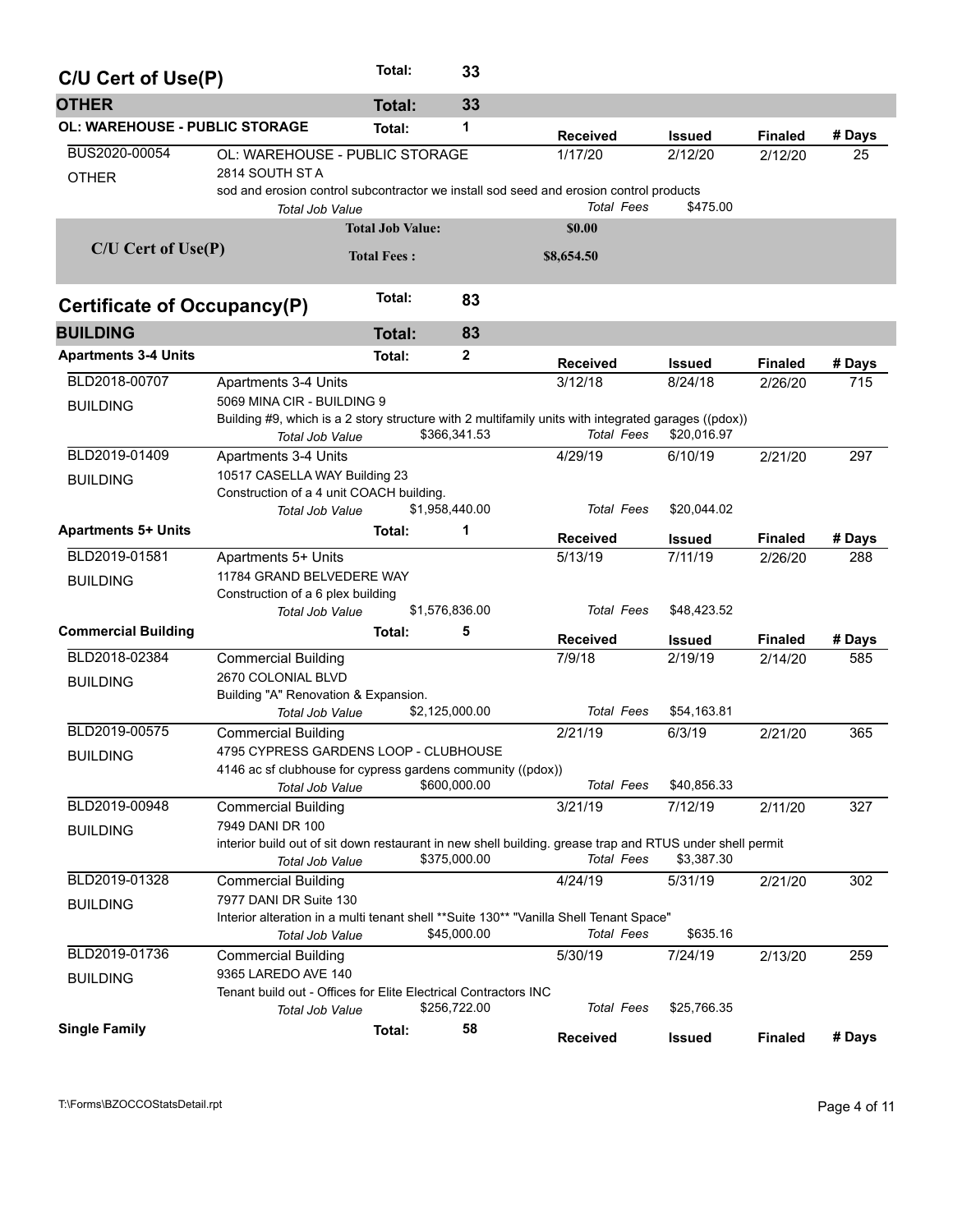| C/U Cert of Use(P)                    |                                                                                                                                             | Total:                  | 33             |                   |               |                |        |
|---------------------------------------|---------------------------------------------------------------------------------------------------------------------------------------------|-------------------------|----------------|-------------------|---------------|----------------|--------|
| <b>OTHER</b>                          |                                                                                                                                             | <b>Total:</b>           | 33             |                   |               |                |        |
| <b>OL: WAREHOUSE - PUBLIC STORAGE</b> |                                                                                                                                             | Total:                  | 1              | <b>Received</b>   | <b>Issued</b> | <b>Finaled</b> | # Days |
| BUS2020-00054<br><b>OTHER</b>         | OL: WAREHOUSE - PUBLIC STORAGE<br>2814 SOUTH ST A<br>sod and erosion control subcontractor we install sod seed and erosion control products |                         |                | 1/17/20           | 2/12/20       | 2/12/20        | 25     |
|                                       | Total Job Value                                                                                                                             |                         |                | <b>Total Fees</b> | \$475.00      |                |        |
|                                       |                                                                                                                                             | <b>Total Job Value:</b> |                | \$0.00            |               |                |        |
| $C/U$ Cert of Use $(P)$               |                                                                                                                                             | <b>Total Fees:</b>      |                | \$8,654.50        |               |                |        |
| Certificate of Occupancy(P)           |                                                                                                                                             | Total:                  | 83             |                   |               |                |        |
| <b>BUILDING</b>                       |                                                                                                                                             | <b>Total:</b>           | 83             |                   |               |                |        |
| <b>Apartments 3-4 Units</b>           |                                                                                                                                             | Total:                  | 2              | <b>Received</b>   | <b>Issued</b> | <b>Finaled</b> | # Days |
| BLD2018-00707                         | Apartments 3-4 Units                                                                                                                        |                         |                | 3/12/18           | 8/24/18       | 2/26/20        | 715    |
| <b>BUILDING</b>                       | 5069 MINA CIR - BUILDING 9<br>Building #9, which is a 2 story structure with 2 multifamily units with integrated garages ((pdox))           |                         |                |                   |               |                |        |
|                                       | Total Job Value                                                                                                                             |                         | \$366,341.53   | <b>Total Fees</b> | \$20,016.97   |                |        |
| BLD2019-01409                         | Apartments 3-4 Units                                                                                                                        |                         |                | 4/29/19           | 6/10/19       | 2/21/20        | 297    |
| <b>BUILDING</b>                       | 10517 CASELLA WAY Building 23                                                                                                               |                         |                |                   |               |                |        |
|                                       | Construction of a 4 unit COACH building.<br>Total Job Value                                                                                 |                         | \$1,958,440.00 | <b>Total Fees</b> | \$20,044.02   |                |        |
| <b>Apartments 5+ Units</b>            |                                                                                                                                             | Total:                  | 1              | <b>Received</b>   | <b>Issued</b> | <b>Finaled</b> | # Days |
| BLD2019-01581                         | Apartments 5+ Units                                                                                                                         |                         |                | 5/13/19           | 7/11/19       | 2/26/20        | 288    |
| <b>BUILDING</b>                       | 11784 GRAND BELVEDERE WAY                                                                                                                   |                         |                |                   |               |                |        |
|                                       | Construction of a 6 plex building                                                                                                           |                         |                |                   |               |                |        |
|                                       | Total Job Value                                                                                                                             |                         | \$1,576,836.00 | <b>Total Fees</b> | \$48,423.52   |                |        |
| <b>Commercial Building</b>            |                                                                                                                                             | Total:                  | 5              | <b>Received</b>   | <b>Issued</b> | <b>Finaled</b> | # Days |
| BLD2018-02384                         | <b>Commercial Building</b>                                                                                                                  |                         |                | 7/9/18            | 2/19/19       | 2/14/20        | 585    |
| <b>BUILDING</b>                       | 2670 COLONIAL BLVD                                                                                                                          |                         |                |                   |               |                |        |
|                                       | Building "A" Renovation & Expansion.                                                                                                        |                         | \$2,125,000.00 | <b>Total Fees</b> | \$54,163.81   |                |        |
| BLD2019-00575                         | <b>Total Job Value</b>                                                                                                                      |                         |                |                   | 6/3/19        |                |        |
|                                       | <b>Commercial Building</b><br>4795 CYPRESS GARDENS LOOP - CLUBHOUSE                                                                         |                         |                | 2/21/19           |               | 2/21/20        | 365    |
| <b>BUILDING</b>                       | 4146 ac sf clubhouse for cypress gardens community ((pdox))                                                                                 |                         |                |                   |               |                |        |
|                                       | Total Job Value                                                                                                                             |                         | \$600,000.00   | <b>Total Fees</b> | \$40,856.33   |                |        |
| BLD2019-00948                         | <b>Commercial Building</b>                                                                                                                  |                         |                | 3/21/19           | 7/12/19       | 2/11/20        | 327    |
| <b>BUILDING</b>                       | 7949 DANI DR 100                                                                                                                            |                         |                |                   |               |                |        |
|                                       | interior build out of sit down restaurant in new shell building, grease trap and RTUS under shell permit                                    |                         |                |                   |               |                |        |
|                                       | <b>Total Job Value</b>                                                                                                                      |                         | \$375,000.00   | <b>Total Fees</b> | \$3,387.30    |                |        |
| BLD2019-01328                         | <b>Commercial Building</b>                                                                                                                  |                         |                | 4/24/19           | 5/31/19       | 2/21/20        | 302    |
| <b>BUILDING</b>                       | 7977 DANI DR Suite 130                                                                                                                      |                         |                |                   |               |                |        |
|                                       | Interior alteration in a multi tenant shell **Suite 130** "Vanilla Shell Tenant Space"<br>Total Job Value                                   |                         | \$45,000.00    | <b>Total Fees</b> | \$635.16      |                |        |
| BLD2019-01736                         | <b>Commercial Building</b>                                                                                                                  |                         |                | 5/30/19           | 7/24/19       | 2/13/20        | 259    |
|                                       | 9365 LAREDO AVE 140                                                                                                                         |                         |                |                   |               |                |        |
| <b>BUILDING</b>                       | Tenant build out - Offices for Elite Electrical Contractors INC                                                                             |                         |                |                   |               |                |        |
|                                       | Total Job Value                                                                                                                             |                         | \$256,722.00   | <b>Total Fees</b> | \$25,766.35   |                |        |
| <b>Single Family</b>                  |                                                                                                                                             | Total:                  | 58             | <b>Received</b>   | <b>Issued</b> | <b>Finaled</b> | # Days |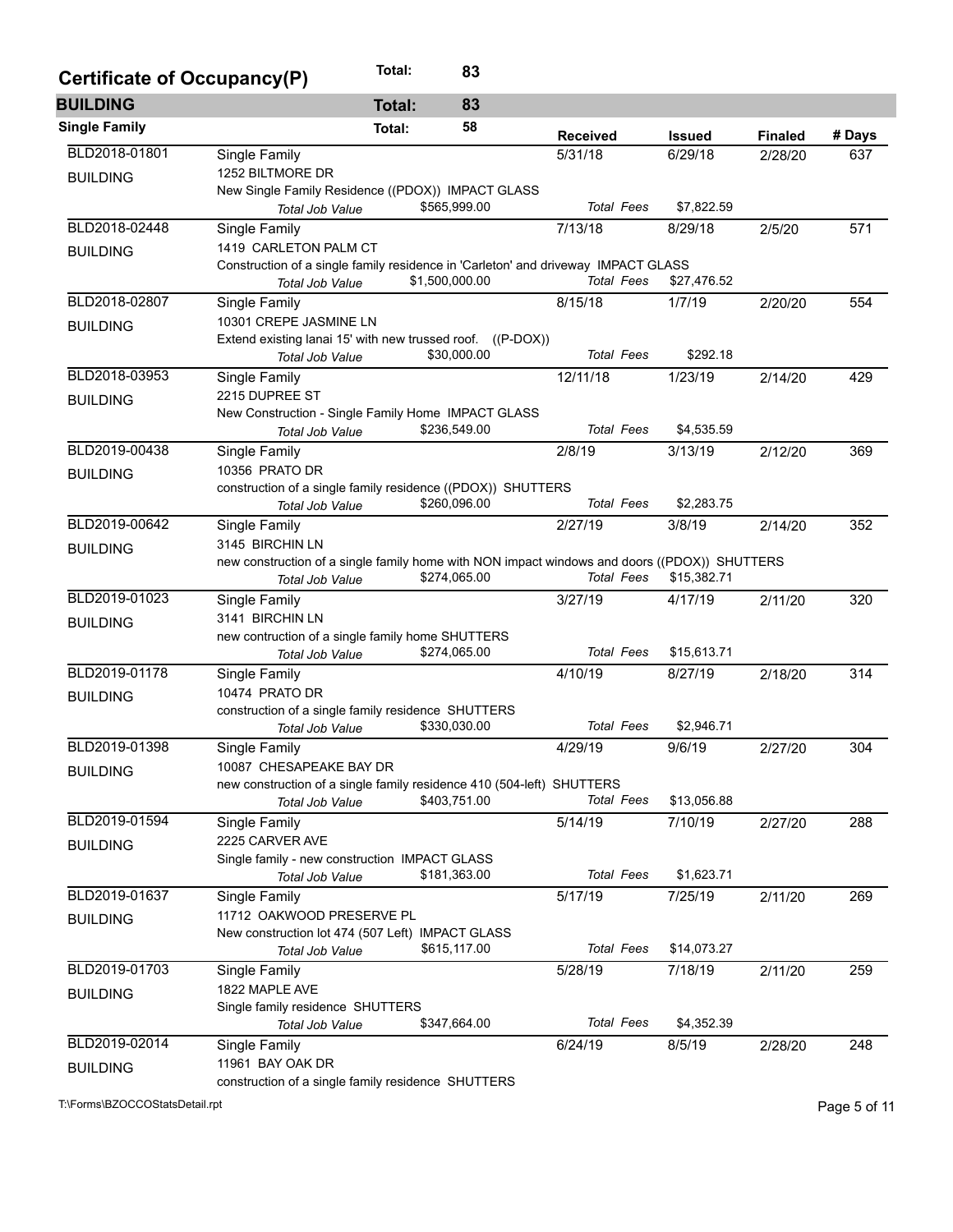| Certificate of Occupancy(P) |                                                                                              | Total: | 83             |                   |               |                |        |
|-----------------------------|----------------------------------------------------------------------------------------------|--------|----------------|-------------------|---------------|----------------|--------|
| <b>BUILDING</b>             |                                                                                              | Total: | 83             |                   |               |                |        |
| <b>Single Family</b>        |                                                                                              | Total: | 58             | <b>Received</b>   | <b>Issued</b> | <b>Finaled</b> | # Days |
| BLD2018-01801               | Single Family                                                                                |        |                | 5/31/18           | 6/29/18       | 2/28/20        | 637    |
| <b>BUILDING</b>             | 1252 BILTMORE DR                                                                             |        |                |                   |               |                |        |
|                             | New Single Family Residence ((PDOX)) IMPACT GLASS                                            |        | \$565,999.00   | <b>Total Fees</b> | \$7,822.59    |                |        |
| BLD2018-02448               | Total Job Value<br>Single Family                                                             |        |                | 7/13/18           | 8/29/18       | 2/5/20         | 571    |
|                             | 1419 CARLETON PALM CT                                                                        |        |                |                   |               |                |        |
| <b>BUILDING</b>             | Construction of a single family residence in 'Carleton' and driveway IMPACT GLASS            |        |                |                   |               |                |        |
|                             | Total Job Value                                                                              |        | \$1,500,000.00 | <b>Total Fees</b> | \$27,476.52   |                |        |
| BLD2018-02807               | Single Family                                                                                |        |                | 8/15/18           | 1/7/19        | 2/20/20        | 554    |
| <b>BUILDING</b>             | 10301 CREPE JASMINE LN                                                                       |        |                |                   |               |                |        |
|                             | Extend existing lanai 15' with new trussed roof. ((P-DOX))                                   |        |                |                   |               |                |        |
|                             | Total Job Value                                                                              |        | \$30,000.00    | <b>Total Fees</b> | \$292.18      |                |        |
| BLD2018-03953               | Single Family                                                                                |        |                | 12/11/18          | 1/23/19       | 2/14/20        | 429    |
| <b>BUILDING</b>             | 2215 DUPREE ST                                                                               |        |                |                   |               |                |        |
|                             | New Construction - Single Family Home IMPACT GLASS<br>Total Job Value                        |        | \$236,549.00   | <b>Total Fees</b> | \$4,535.59    |                |        |
| BLD2019-00438               | Single Family                                                                                |        |                | 2/8/19            | 3/13/19       | 2/12/20        | 369    |
|                             | 10356 PRATO DR                                                                               |        |                |                   |               |                |        |
| <b>BUILDING</b>             | construction of a single family residence ((PDOX)) SHUTTERS                                  |        |                |                   |               |                |        |
|                             | Total Job Value                                                                              |        | \$260,096.00   | <b>Total Fees</b> | \$2,283.75    |                |        |
| BLD2019-00642               | Single Family                                                                                |        |                | 2/27/19           | 3/8/19        | 2/14/20        | 352    |
| <b>BUILDING</b>             | 3145 BIRCHIN LN                                                                              |        |                |                   |               |                |        |
|                             | new construction of a single family home with NON impact windows and doors ((PDOX)) SHUTTERS |        |                |                   |               |                |        |
|                             | Total Job Value                                                                              |        | \$274,065.00   | <b>Total Fees</b> | \$15,382.71   |                |        |
| BLD2019-01023               | Single Family                                                                                |        |                | 3/27/19           | 4/17/19       | 2/11/20        | 320    |
| <b>BUILDING</b>             | 3141 BIRCHIN LN                                                                              |        |                |                   |               |                |        |
|                             | new contruction of a single family home SHUTTERS<br>Total Job Value                          |        | \$274,065.00   | <b>Total Fees</b> | \$15,613.71   |                |        |
| BLD2019-01178               | Single Family                                                                                |        |                | 4/10/19           | 8/27/19       | 2/18/20        | 314    |
|                             | 10474 PRATO DR                                                                               |        |                |                   |               |                |        |
| <b>BUILDING</b>             | construction of a single family residence SHUTTERS                                           |        |                |                   |               |                |        |
|                             | Total Job Value                                                                              |        | \$330,030.00   | <b>Total Fees</b> | \$2,946.71    |                |        |
| BLD2019-01398               | Single Family                                                                                |        |                | 4/29/19           | 9/6/19        | 2/27/20        | 304    |
| <b>BUILDING</b>             | 10087 CHESAPEAKE BAY DR                                                                      |        |                |                   |               |                |        |
|                             | new construction of a single family residence 410 (504-left) SHUTTERS                        |        |                |                   |               |                |        |
|                             | Total Job Value                                                                              |        | \$403,751.00   | <b>Total Fees</b> | \$13,056.88   |                |        |
| BLD2019-01594               | Single Family                                                                                |        |                | 5/14/19           | 7/10/19       | 2/27/20        | 288    |
| <b>BUILDING</b>             | 2225 CARVER AVE                                                                              |        |                |                   |               |                |        |
|                             | Single family - new construction IMPACT GLASS<br>Total Job Value                             |        | \$181,363.00   | <b>Total Fees</b> | \$1,623.71    |                |        |
| BLD2019-01637               | Single Family                                                                                |        |                | 5/17/19           | 7/25/19       | 2/11/20        | 269    |
|                             | 11712 OAKWOOD PRESERVE PL                                                                    |        |                |                   |               |                |        |
| <b>BUILDING</b>             | New construction lot 474 (507 Left) IMPACT GLASS                                             |        |                |                   |               |                |        |
|                             | Total Job Value                                                                              |        | \$615,117.00   | <b>Total Fees</b> | \$14,073.27   |                |        |
| BLD2019-01703               | Single Family                                                                                |        |                | 5/28/19           | 7/18/19       | 2/11/20        | 259    |
| <b>BUILDING</b>             | 1822 MAPLE AVE                                                                               |        |                |                   |               |                |        |
|                             | Single family residence SHUTTERS                                                             |        |                |                   |               |                |        |
|                             | Total Job Value                                                                              |        | \$347,664.00   | <b>Total Fees</b> | \$4,352.39    |                |        |
| BLD2019-02014               | Single Family                                                                                |        |                | 6/24/19           | 8/5/19        | 2/28/20        | 248    |
| <b>BUILDING</b>             | 11961 BAY OAK DR                                                                             |        |                |                   |               |                |        |
|                             | construction of a single family residence SHUTTERS                                           |        |                |                   |               |                |        |

T:\Forms\BZOCCOStatsDetail.rpt Page 5 of 11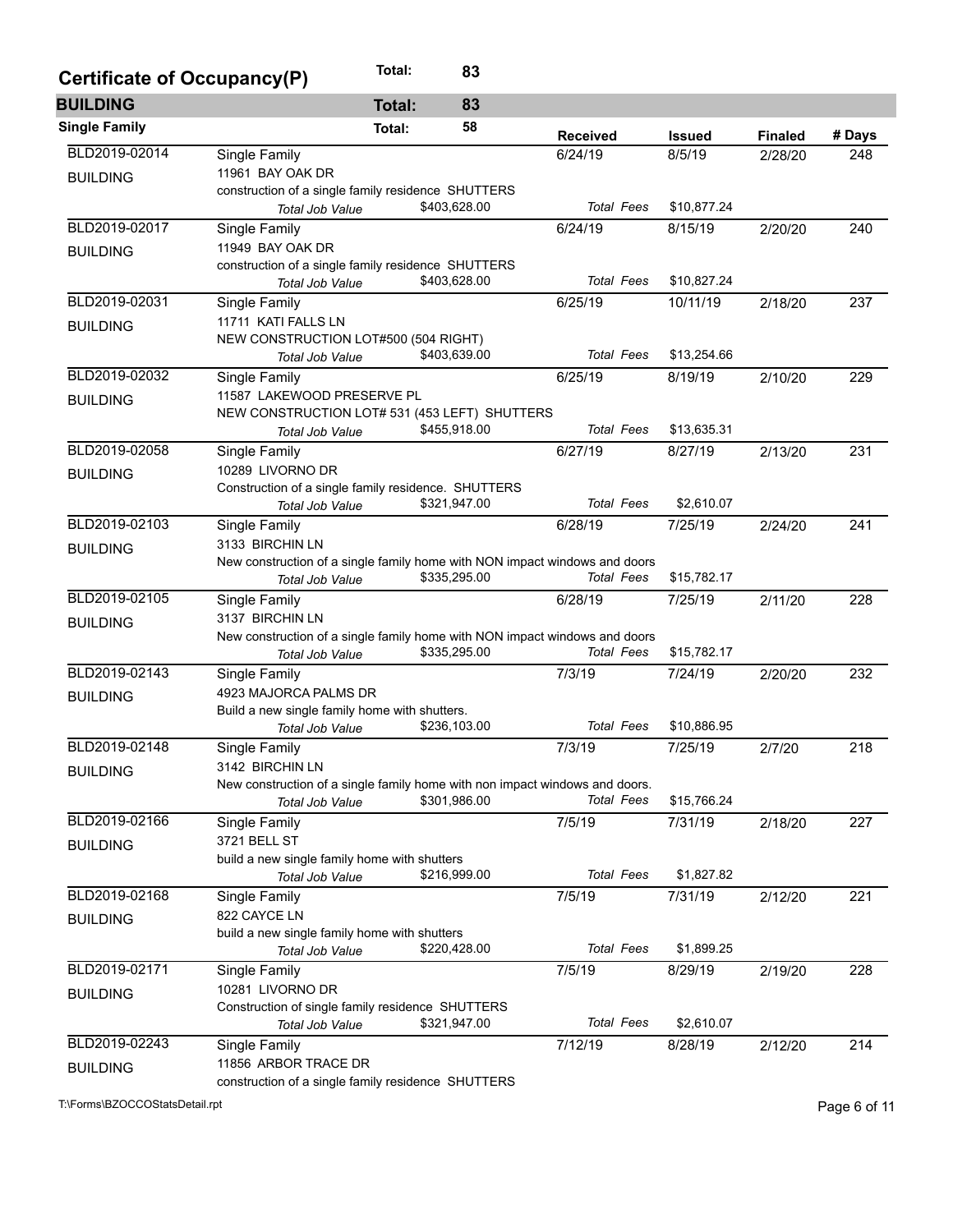| Certificate of Occupancy(P) | Total:                                                                                         | 83           |                   |               |                |        |  |  |  |  |
|-----------------------------|------------------------------------------------------------------------------------------------|--------------|-------------------|---------------|----------------|--------|--|--|--|--|
| <b>BUILDING</b>             | <b>Total:</b>                                                                                  | 83           |                   |               |                |        |  |  |  |  |
| <b>Single Family</b>        | Total:                                                                                         | 58           | <b>Received</b>   | <b>Issued</b> | <b>Finaled</b> | # Days |  |  |  |  |
| BLD2019-02014               | Single Family                                                                                  |              | 6/24/19           | 8/5/19        | 2/28/20        | 248    |  |  |  |  |
| <b>BUILDING</b>             | 11961 BAY OAK DR                                                                               |              |                   |               |                |        |  |  |  |  |
|                             | construction of a single family residence SHUTTERS                                             |              |                   |               |                |        |  |  |  |  |
|                             | Total Job Value                                                                                | \$403,628.00 | <b>Total Fees</b> | \$10,877.24   |                |        |  |  |  |  |
| BLD2019-02017               | Single Family                                                                                  |              | 6/24/19           | 8/15/19       | 2/20/20        | 240    |  |  |  |  |
| <b>BUILDING</b>             | 11949 BAY OAK DR                                                                               |              |                   |               |                |        |  |  |  |  |
|                             | construction of a single family residence SHUTTERS                                             |              |                   |               |                |        |  |  |  |  |
|                             | <b>Total Job Value</b>                                                                         | \$403,628.00 | <b>Total Fees</b> | \$10,827.24   |                |        |  |  |  |  |
| BLD2019-02031               | Single Family                                                                                  |              | 6/25/19           | 10/11/19      | 2/18/20        | 237    |  |  |  |  |
| <b>BUILDING</b>             | 11711 KATI FALLS LN                                                                            |              |                   |               |                |        |  |  |  |  |
|                             | NEW CONSTRUCTION LOT#500 (504 RIGHT)                                                           |              |                   |               |                |        |  |  |  |  |
|                             | Total Job Value                                                                                | \$403,639.00 | <b>Total Fees</b> | \$13,254.66   |                |        |  |  |  |  |
| BLD2019-02032               | Single Family                                                                                  |              | 6/25/19           | 8/19/19       | 2/10/20        | 229    |  |  |  |  |
| <b>BUILDING</b>             | 11587 LAKEWOOD PRESERVE PL                                                                     |              |                   |               |                |        |  |  |  |  |
|                             | NEW CONSTRUCTION LOT# 531 (453 LEFT) SHUTTERS                                                  |              |                   |               |                |        |  |  |  |  |
|                             | Total Job Value                                                                                | \$455,918.00 | <b>Total Fees</b> | \$13,635.31   |                |        |  |  |  |  |
| BLD2019-02058               | Single Family                                                                                  |              | 6/27/19           | 8/27/19       | 2/13/20        | 231    |  |  |  |  |
| <b>BUILDING</b>             | 10289 LIVORNO DR                                                                               |              |                   |               |                |        |  |  |  |  |
|                             | Construction of a single family residence. SHUTTERS                                            |              |                   |               |                |        |  |  |  |  |
|                             | Total Job Value                                                                                | \$321,947.00 | <b>Total Fees</b> | \$2,610.07    |                |        |  |  |  |  |
| BLD2019-02103               | Single Family                                                                                  |              | 6/28/19           | 7/25/19       | 2/24/20        | 241    |  |  |  |  |
| <b>BUILDING</b>             | 3133 BIRCHIN LN                                                                                |              |                   |               |                |        |  |  |  |  |
|                             | New construction of a single family home with NON impact windows and doors                     |              |                   |               |                |        |  |  |  |  |
|                             | Total Job Value                                                                                | \$335,295.00 | <b>Total Fees</b> | \$15,782.17   |                |        |  |  |  |  |
| BLD2019-02105               | Single Family                                                                                  |              | 6/28/19           | 7/25/19       | 2/11/20        | 228    |  |  |  |  |
| <b>BUILDING</b>             | 3137 BIRCHIN LN                                                                                |              |                   |               |                |        |  |  |  |  |
|                             | New construction of a single family home with NON impact windows and doors                     |              | <b>Total Fees</b> | \$15,782.17   |                |        |  |  |  |  |
|                             | Total Job Value                                                                                | \$335,295.00 |                   |               |                |        |  |  |  |  |
| BLD2019-02143               | Single Family                                                                                  |              | 7/3/19            | 7/24/19       | 2/20/20        | 232    |  |  |  |  |
| <b>BUILDING</b>             | 4923 MAJORCA PALMS DR                                                                          |              |                   |               |                |        |  |  |  |  |
|                             | Build a new single family home with shutters.                                                  | \$236,103.00 | <b>Total Fees</b> | \$10,886.95   |                |        |  |  |  |  |
| BLD2019-02148               | Total Job Value                                                                                |              |                   |               |                |        |  |  |  |  |
|                             | Single Family                                                                                  |              | 7/3/19            | 7/25/19       | 2/7/20         | 218    |  |  |  |  |
| <b>BUILDING</b>             | 3142 BIRCHIN LN<br>New construction of a single family home with non impact windows and doors. |              |                   |               |                |        |  |  |  |  |
|                             | <b>Total Job Value</b>                                                                         | \$301,986.00 | Total Fees        | \$15,766.24   |                |        |  |  |  |  |
| BLD2019-02166               | Single Family                                                                                  |              | 7/5/19            | 7/31/19       | 2/18/20        | 227    |  |  |  |  |
|                             | 3721 BELL ST                                                                                   |              |                   |               |                |        |  |  |  |  |
| <b>BUILDING</b>             | build a new single family home with shutters                                                   |              |                   |               |                |        |  |  |  |  |
|                             | Total Job Value                                                                                | \$216,999.00 | Total Fees        | \$1,827.82    |                |        |  |  |  |  |
| BLD2019-02168               | Single Family                                                                                  |              | 7/5/19            | 7/31/19       | 2/12/20        | 221    |  |  |  |  |
|                             | 822 CAYCE LN                                                                                   |              |                   |               |                |        |  |  |  |  |
| <b>BUILDING</b>             | build a new single family home with shutters                                                   |              |                   |               |                |        |  |  |  |  |
|                             | Total Job Value                                                                                | \$220,428.00 | <b>Total Fees</b> | \$1,899.25    |                |        |  |  |  |  |
| BLD2019-02171               | Single Family                                                                                  |              | 7/5/19            | 8/29/19       | 2/19/20        | 228    |  |  |  |  |
|                             | 10281 LIVORNO DR                                                                               |              |                   |               |                |        |  |  |  |  |
| <b>BUILDING</b>             | Construction of single family residence SHUTTERS                                               |              |                   |               |                |        |  |  |  |  |
|                             | Total Job Value                                                                                | \$321,947.00 | <b>Total Fees</b> | \$2,610.07    |                |        |  |  |  |  |
| BLD2019-02243               | Single Family                                                                                  |              | 7/12/19           | 8/28/19       | 2/12/20        | 214    |  |  |  |  |
|                             | 11856 ARBOR TRACE DR                                                                           |              |                   |               |                |        |  |  |  |  |
| <b>BUILDING</b>             | construction of a single family residence SHUTTERS                                             |              |                   |               |                |        |  |  |  |  |
|                             |                                                                                                |              |                   |               |                |        |  |  |  |  |

T:\Forms\BZOCCOStatsDetail.rpt Page 6 of 11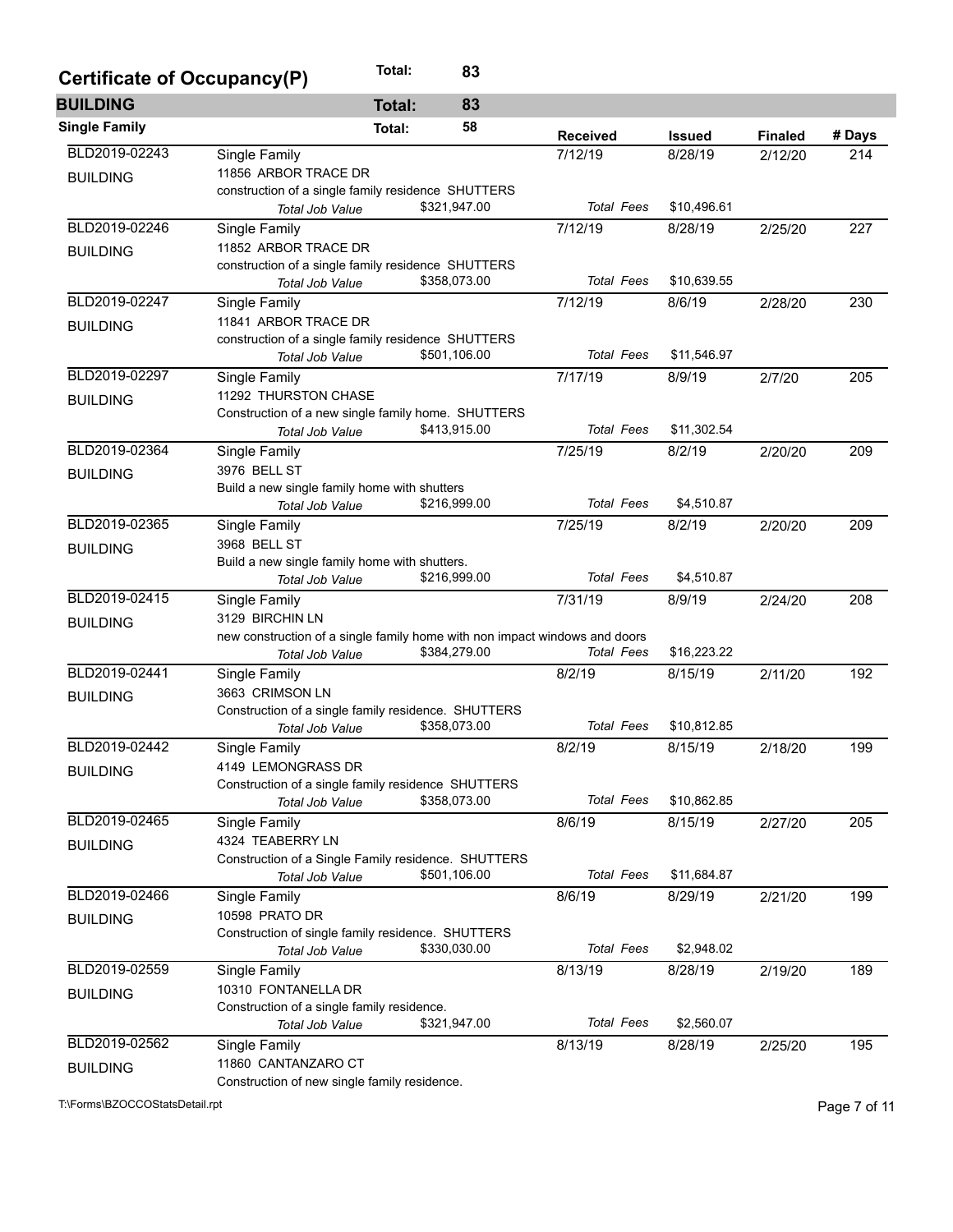| Certificate of Occupancy(P) |                                                                            | Total:        | 83           |                   |               |                |        |
|-----------------------------|----------------------------------------------------------------------------|---------------|--------------|-------------------|---------------|----------------|--------|
| <b>BUILDING</b>             |                                                                            | <b>Total:</b> | 83           |                   |               |                |        |
| <b>Single Family</b>        |                                                                            | Total:        | 58           | <b>Received</b>   | <b>Issued</b> | <b>Finaled</b> | # Days |
| BLD2019-02243               | Single Family                                                              |               |              | 7/12/19           | 8/28/19       | 2/12/20        | 214    |
| <b>BUILDING</b>             | 11856 ARBOR TRACE DR                                                       |               |              |                   |               |                |        |
|                             | construction of a single family residence SHUTTERS                         |               |              |                   |               |                |        |
|                             | Total Job Value                                                            |               | \$321,947.00 | <b>Total Fees</b> | \$10,496.61   |                |        |
| BLD2019-02246               | Single Family                                                              |               |              | 7/12/19           | 8/28/19       | 2/25/20        | 227    |
| <b>BUILDING</b>             | 11852 ARBOR TRACE DR                                                       |               |              |                   |               |                |        |
|                             | construction of a single family residence SHUTTERS                         |               |              |                   |               |                |        |
|                             | Total Job Value                                                            |               | \$358,073.00 | <b>Total Fees</b> | \$10,639.55   |                |        |
| BLD2019-02247               | Single Family                                                              |               |              | 7/12/19           | 8/6/19        | 2/28/20        | 230    |
| <b>BUILDING</b>             | 11841 ARBOR TRACE DR                                                       |               |              |                   |               |                |        |
|                             | construction of a single family residence SHUTTERS                         |               |              |                   |               |                |        |
|                             | Total Job Value                                                            |               | \$501,106.00 | <b>Total Fees</b> | \$11,546.97   |                |        |
| BLD2019-02297               | Single Family                                                              |               |              | 7/17/19           | 8/9/19        | 2/7/20         | 205    |
| <b>BUILDING</b>             | 11292 THURSTON CHASE                                                       |               |              |                   |               |                |        |
|                             | Construction of a new single family home. SHUTTERS                         |               | \$413,915.00 | <b>Total Fees</b> | \$11,302.54   |                |        |
| BLD2019-02364               | Total Job Value                                                            |               |              |                   |               |                |        |
|                             | Single Family                                                              |               |              | 7/25/19           | 8/2/19        | 2/20/20        | 209    |
| <b>BUILDING</b>             | 3976 BELL ST                                                               |               |              |                   |               |                |        |
|                             | Build a new single family home with shutters<br>Total Job Value            |               | \$216,999.00 | <b>Total Fees</b> | \$4,510.87    |                |        |
| BLD2019-02365               |                                                                            |               |              | 7/25/19           | 8/2/19        |                | 209    |
|                             | Single Family<br>3968 BELL ST                                              |               |              |                   |               | 2/20/20        |        |
| <b>BUILDING</b>             | Build a new single family home with shutters.                              |               |              |                   |               |                |        |
|                             | Total Job Value                                                            |               | \$216,999.00 | <b>Total Fees</b> | \$4,510.87    |                |        |
| BLD2019-02415               | Single Family                                                              |               |              | 7/31/19           | 8/9/19        | 2/24/20        | 208    |
|                             | 3129 BIRCHIN LN                                                            |               |              |                   |               |                |        |
| <b>BUILDING</b>             | new construction of a single family home with non impact windows and doors |               |              |                   |               |                |        |
|                             | Total Job Value                                                            |               | \$384,279.00 | <b>Total Fees</b> | \$16,223.22   |                |        |
| BLD2019-02441               | Single Family                                                              |               |              | 8/2/19            | 8/15/19       | 2/11/20        | 192    |
| <b>BUILDING</b>             | 3663 CRIMSON LN                                                            |               |              |                   |               |                |        |
|                             | Construction of a single family residence. SHUTTERS                        |               |              |                   |               |                |        |
|                             | Total Job Value                                                            |               | \$358,073.00 | <b>Total Fees</b> | \$10,812.85   |                |        |
| BLD2019-02442               | Single Family                                                              |               |              | 8/2/19            | 8/15/19       | 2/18/20        | 199    |
| <b>BUILDING</b>             | 4149 LEMONGRASS DR                                                         |               |              |                   |               |                |        |
|                             | Construction of a single family residence SHUTTERS                         |               |              |                   |               |                |        |
|                             | Total Job Value                                                            |               | \$358,073.00 | <b>Total Fees</b> | \$10,862.85   |                |        |
| BLD2019-02465               | Single Family                                                              |               |              | 8/6/19            | 8/15/19       | 2/27/20        | 205    |
| <b>BUILDING</b>             | 4324 TEABERRY LN                                                           |               |              |                   |               |                |        |
|                             | Construction of a Single Family residence. SHUTTERS                        |               |              |                   |               |                |        |
|                             | Total Job Value                                                            |               | \$501,106.00 | <b>Total Fees</b> | \$11,684.87   |                |        |
| BLD2019-02466               | Single Family                                                              |               |              | 8/6/19            | 8/29/19       | 2/21/20        | 199    |
| <b>BUILDING</b>             | 10598 PRATO DR                                                             |               |              |                   |               |                |        |
|                             | Construction of single family residence. SHUTTERS                          |               |              |                   |               |                |        |
|                             | Total Job Value                                                            |               | \$330,030.00 | <b>Total Fees</b> | \$2,948.02    |                |        |
| BLD2019-02559               | Single Family                                                              |               |              | 8/13/19           | 8/28/19       | 2/19/20        | 189    |
| <b>BUILDING</b>             | 10310 FONTANELLA DR                                                        |               |              |                   |               |                |        |
|                             | Construction of a single family residence.                                 |               |              |                   |               |                |        |
|                             | Total Job Value                                                            |               | \$321,947.00 | <b>Total Fees</b> | \$2,560.07    |                |        |
| BLD2019-02562               | Single Family                                                              |               |              | 8/13/19           | 8/28/19       | 2/25/20        | 195    |
| <b>BUILDING</b>             | 11860 CANTANZARO CT                                                        |               |              |                   |               |                |        |
|                             | Construction of new single family residence.                               |               |              |                   |               |                |        |

T:\Forms\BZOCCOStatsDetail.rpt Page 7 of 11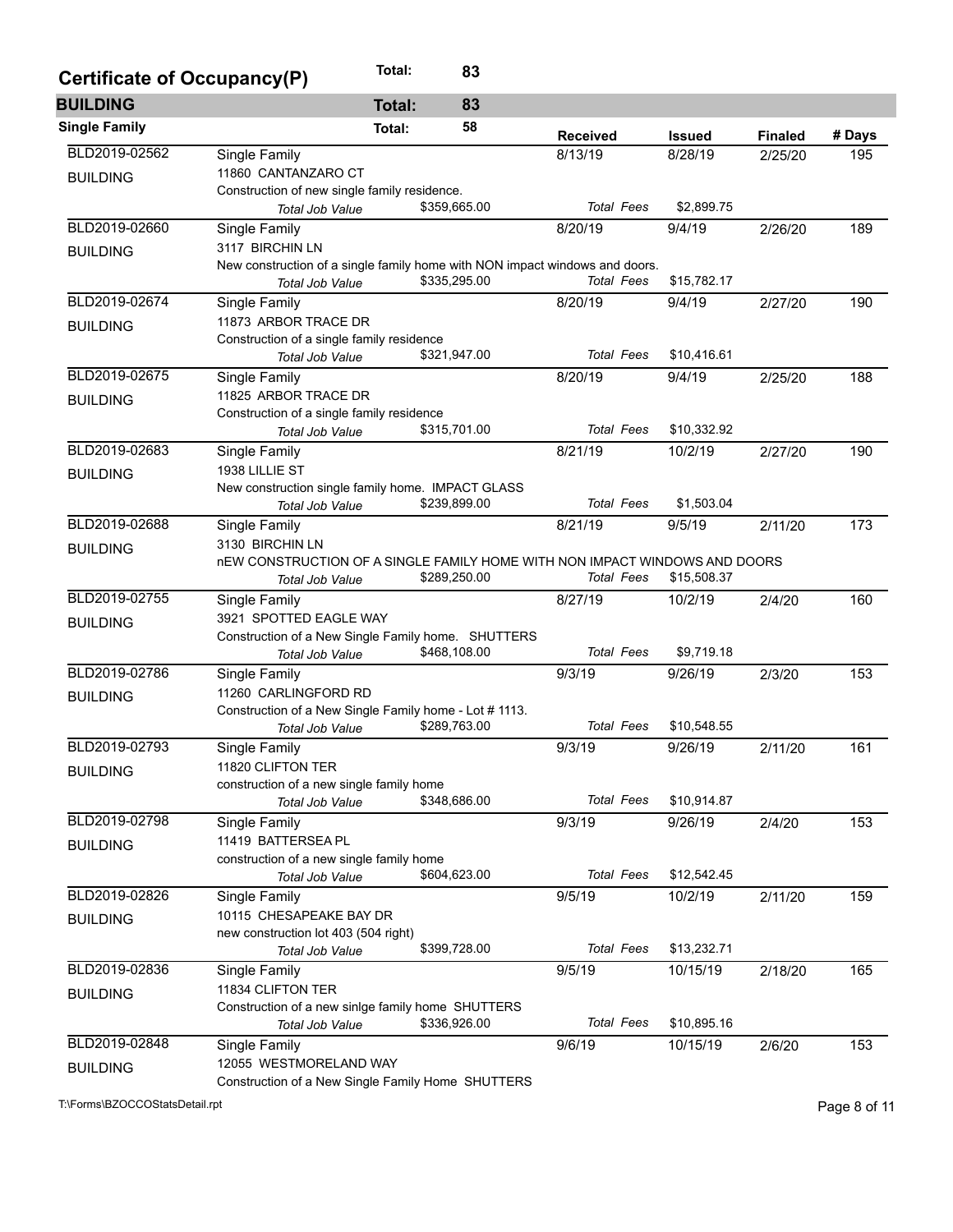| Certificate of Occupancy(P) |                                                                                                             | Total:        | 83           |                   |               |                |        |
|-----------------------------|-------------------------------------------------------------------------------------------------------------|---------------|--------------|-------------------|---------------|----------------|--------|
| <b>BUILDING</b>             |                                                                                                             | <b>Total:</b> | 83           |                   |               |                |        |
| <b>Single Family</b>        |                                                                                                             | Total:        | 58           | <b>Received</b>   | <b>Issued</b> | <b>Finaled</b> | # Days |
| BLD2019-02562               | Single Family                                                                                               |               |              | 8/13/19           | 8/28/19       | 2/25/20        | 195    |
| <b>BUILDING</b>             | 11860 CANTANZARO CT                                                                                         |               |              |                   |               |                |        |
|                             | Construction of new single family residence.                                                                |               |              |                   |               |                |        |
|                             | <b>Total Job Value</b>                                                                                      |               | \$359,665.00 | <b>Total Fees</b> | \$2,899.75    |                |        |
| BLD2019-02660               | Single Family                                                                                               |               |              | 8/20/19           | 9/4/19        | 2/26/20        | 189    |
| <b>BUILDING</b>             | 3117 BIRCHIN LN                                                                                             |               |              |                   |               |                |        |
|                             | New construction of a single family home with NON impact windows and doors.                                 |               |              |                   |               |                |        |
|                             | Total Job Value                                                                                             |               | \$335,295.00 | <b>Total Fees</b> | \$15,782.17   |                |        |
| BLD2019-02674               | Single Family                                                                                               |               |              | 8/20/19           | 9/4/19        | 2/27/20        | 190    |
| <b>BUILDING</b>             | 11873 ARBOR TRACE DR                                                                                        |               |              |                   |               |                |        |
|                             | Construction of a single family residence                                                                   |               |              | <b>Total Fees</b> | \$10,416.61   |                |        |
| BLD2019-02675               | Total Job Value                                                                                             |               | \$321,947.00 |                   |               |                |        |
|                             | Single Family                                                                                               |               |              | 8/20/19           | 9/4/19        | 2/25/20        | 188    |
| <b>BUILDING</b>             | 11825 ARBOR TRACE DR                                                                                        |               |              |                   |               |                |        |
|                             | Construction of a single family residence<br>Total Job Value                                                |               | \$315,701.00 | <b>Total Fees</b> | \$10,332.92   |                |        |
| BLD2019-02683               |                                                                                                             |               |              |                   |               |                |        |
|                             | Single Family                                                                                               |               |              | 8/21/19           | 10/2/19       | 2/27/20        | 190    |
| <b>BUILDING</b>             | 1938 LILLIE ST                                                                                              |               |              |                   |               |                |        |
|                             | New construction single family home. IMPACT GLASS<br>Total Job Value                                        |               | \$239,899.00 | <b>Total Fees</b> | \$1,503.04    |                |        |
| BLD2019-02688               |                                                                                                             |               |              |                   |               |                |        |
|                             | Single Family                                                                                               |               |              | 8/21/19           | 9/5/19        | 2/11/20        | 173    |
| <b>BUILDING</b>             | 3130 BIRCHIN LN                                                                                             |               |              |                   |               |                |        |
|                             | <b>nEW CONSTRUCTION OF A SINGLE FAMILY HOME WITH NON IMPACT WINDOWS AND DOORS</b><br><b>Total Job Value</b> |               | \$289,250.00 | <b>Total Fees</b> | \$15,508.37   |                |        |
| BLD2019-02755               | Single Family                                                                                               |               |              | 8/27/19           | 10/2/19       | 2/4/20         | 160    |
|                             | 3921 SPOTTED EAGLE WAY                                                                                      |               |              |                   |               |                |        |
| <b>BUILDING</b>             | Construction of a New Single Family home. SHUTTERS                                                          |               |              |                   |               |                |        |
|                             | <b>Total Job Value</b>                                                                                      |               | \$468,108.00 | <b>Total Fees</b> | \$9,719.18    |                |        |
| BLD2019-02786               | Single Family                                                                                               |               |              | 9/3/19            | 9/26/19       | 2/3/20         | 153    |
| <b>BUILDING</b>             | 11260 CARLINGFORD RD                                                                                        |               |              |                   |               |                |        |
|                             | Construction of a New Single Family home - Lot # 1113.                                                      |               |              |                   |               |                |        |
|                             | <b>Total Job Value</b>                                                                                      |               | \$289,763.00 | <b>Total Fees</b> | \$10,548.55   |                |        |
| BLD2019-02793               | Single Family                                                                                               |               |              | 9/3/19            | 9/26/19       | 2/11/20        | 161    |
| <b>BUILDING</b>             | 11820 CLIFTON TER                                                                                           |               |              |                   |               |                |        |
|                             | construction of a new single family home                                                                    |               |              |                   |               |                |        |
|                             | Total Job Value                                                                                             |               | \$348,686.00 | <b>Total Fees</b> | \$10,914.87   |                |        |
| BLD2019-02798               | Single Family                                                                                               |               |              | 9/3/19            | 9/26/19       | 2/4/20         | 153    |
| <b>BUILDING</b>             | 11419 BATTERSEA PL                                                                                          |               |              |                   |               |                |        |
|                             | construction of a new single family home                                                                    |               |              |                   |               |                |        |
|                             | <b>Total Job Value</b>                                                                                      |               | \$604,623.00 | <b>Total Fees</b> | \$12,542.45   |                |        |
| BLD2019-02826               | Single Family                                                                                               |               |              | 9/5/19            | 10/2/19       | 2/11/20        | 159    |
| <b>BUILDING</b>             | 10115 CHESAPEAKE BAY DR                                                                                     |               |              |                   |               |                |        |
|                             | new construction lot 403 (504 right)                                                                        |               |              |                   |               |                |        |
|                             | <b>Total Job Value</b>                                                                                      |               | \$399,728.00 | <b>Total Fees</b> | \$13,232.71   |                |        |
| BLD2019-02836               | Single Family                                                                                               |               |              | 9/5/19            | 10/15/19      | 2/18/20        | 165    |
| <b>BUILDING</b>             | 11834 CLIFTON TER                                                                                           |               |              |                   |               |                |        |
|                             | Construction of a new sinlge family home SHUTTERS                                                           |               |              |                   |               |                |        |
|                             | <b>Total Job Value</b>                                                                                      |               | \$336,926.00 | <b>Total Fees</b> | \$10,895.16   |                |        |
| BLD2019-02848               | Single Family                                                                                               |               |              | 9/6/19            | 10/15/19      | 2/6/20         | 153    |
| <b>BUILDING</b>             | 12055 WESTMORELAND WAY                                                                                      |               |              |                   |               |                |        |
|                             | Construction of a New Single Family Home SHUTTERS                                                           |               |              |                   |               |                |        |

T:\Forms\BZOCCOStatsDetail.rpt Page 8 of 11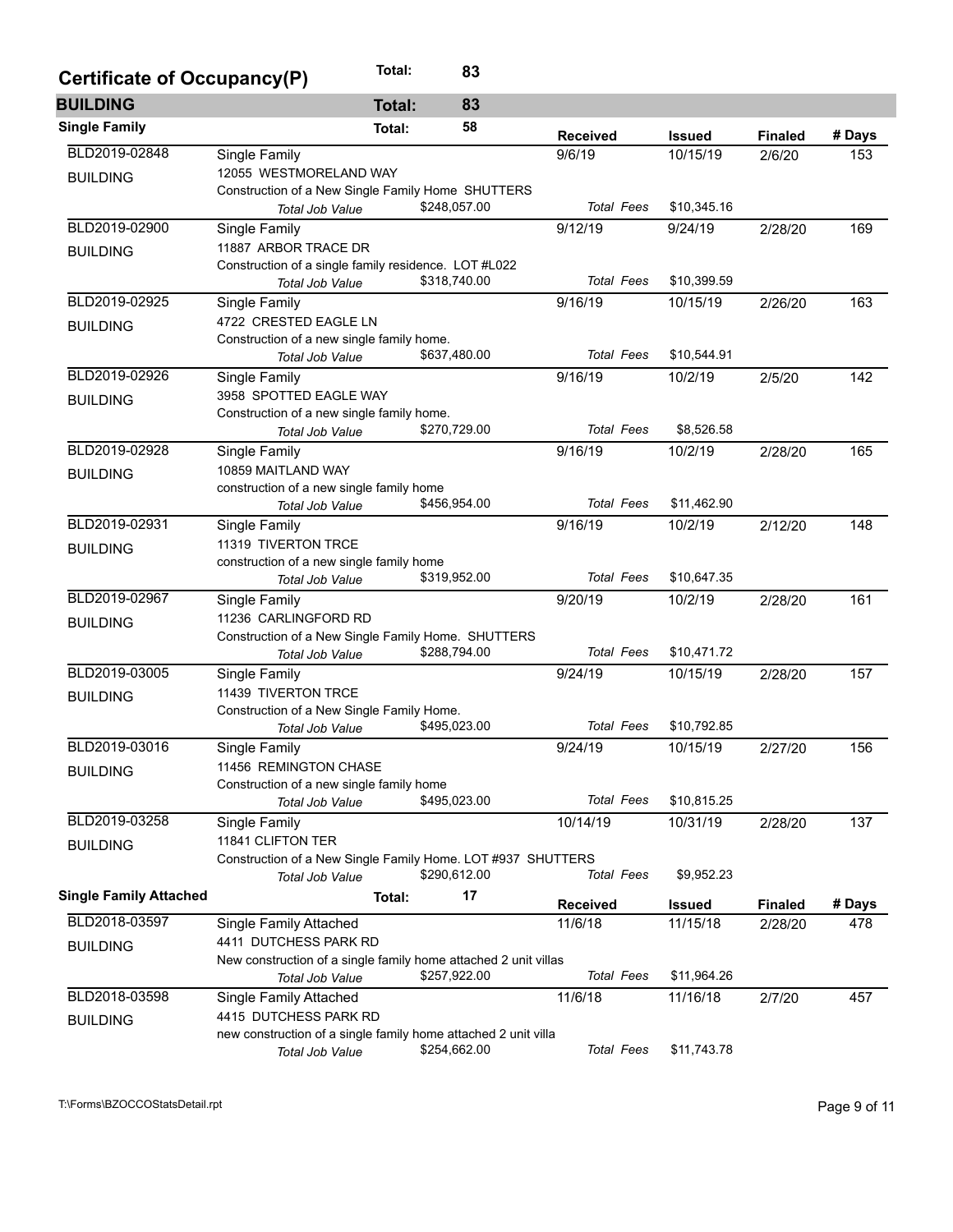| Certificate of Occupancy(P)   |                                                                 | Total:        | 83           |                   |               |                |        |
|-------------------------------|-----------------------------------------------------------------|---------------|--------------|-------------------|---------------|----------------|--------|
| <b>BUILDING</b>               |                                                                 | <b>Total:</b> | 83           |                   |               |                |        |
| <b>Single Family</b>          |                                                                 | Total:        | 58           | <b>Received</b>   | <b>Issued</b> | <b>Finaled</b> | # Days |
| BLD2019-02848                 | Single Family                                                   |               |              | 9/6/19            | 10/15/19      | 2/6/20         | 153    |
| <b>BUILDING</b>               | 12055 WESTMORELAND WAY                                          |               |              |                   |               |                |        |
|                               | Construction of a New Single Family Home SHUTTERS               |               |              |                   |               |                |        |
|                               | Total Job Value                                                 |               | \$248,057.00 | <b>Total Fees</b> | \$10,345.16   |                |        |
| BLD2019-02900                 | Single Family                                                   |               |              | 9/12/19           | 9/24/19       | 2/28/20        | 169    |
| <b>BUILDING</b>               | 11887 ARBOR TRACE DR                                            |               |              |                   |               |                |        |
|                               | Construction of a single family residence. LOT #L022            |               |              | <b>Total Fees</b> |               |                |        |
|                               | Total Job Value                                                 |               | \$318,740.00 |                   | \$10,399.59   |                |        |
| BLD2019-02925                 | Single Family                                                   |               |              | 9/16/19           | 10/15/19      | 2/26/20        | 163    |
| <b>BUILDING</b>               | 4722 CRESTED EAGLE LN                                           |               |              |                   |               |                |        |
|                               | Construction of a new single family home.                       |               | \$637,480.00 | <b>Total Fees</b> | \$10,544.91   |                |        |
|                               | Total Job Value                                                 |               |              |                   |               |                |        |
| BLD2019-02926                 | <b>Single Family</b>                                            |               |              | 9/16/19           | 10/2/19       | 2/5/20         | 142    |
| <b>BUILDING</b>               | 3958 SPOTTED EAGLE WAY                                          |               |              |                   |               |                |        |
|                               | Construction of a new single family home.                       |               | \$270,729.00 | <b>Total Fees</b> | \$8,526.58    |                |        |
| BLD2019-02928                 | Total Job Value                                                 |               |              |                   |               |                |        |
|                               | Single Family                                                   |               |              | 9/16/19           | 10/2/19       | 2/28/20        | 165    |
| <b>BUILDING</b>               | 10859 MAITLAND WAY                                              |               |              |                   |               |                |        |
|                               | construction of a new single family home<br>Total Job Value     |               | \$456,954.00 | <b>Total Fees</b> | \$11,462.90   |                |        |
| BLD2019-02931                 | Single Family                                                   |               |              | 9/16/19           | 10/2/19       |                | 148    |
|                               | 11319 TIVERTON TRCE                                             |               |              |                   |               | 2/12/20        |        |
| <b>BUILDING</b>               | construction of a new single family home                        |               |              |                   |               |                |        |
|                               | Total Job Value                                                 |               | \$319,952.00 | <b>Total Fees</b> | \$10,647.35   |                |        |
| BLD2019-02967                 | Single Family                                                   |               |              | 9/20/19           | 10/2/19       | 2/28/20        | 161    |
|                               | 11236 CARLINGFORD RD                                            |               |              |                   |               |                |        |
| <b>BUILDING</b>               | Construction of a New Single Family Home. SHUTTERS              |               |              |                   |               |                |        |
|                               | Total Job Value                                                 |               | \$288,794.00 | <b>Total Fees</b> | \$10,471.72   |                |        |
| BLD2019-03005                 | Single Family                                                   |               |              | 9/24/19           | 10/15/19      | 2/28/20        | 157    |
|                               | 11439 TIVERTON TRCE                                             |               |              |                   |               |                |        |
| <b>BUILDING</b>               | Construction of a New Single Family Home.                       |               |              |                   |               |                |        |
|                               | <b>Total Job Value</b>                                          |               | \$495,023.00 | <b>Total Fees</b> | \$10,792.85   |                |        |
| BLD2019-03016                 | Single Family                                                   |               |              | 9/24/19           | 10/15/19      | 2/27/20        | 156    |
| <b>BUILDING</b>               | 11456 REMINGTON CHASE                                           |               |              |                   |               |                |        |
|                               | Construction of a new single family home                        |               |              |                   |               |                |        |
|                               | <b>Total Job Value</b>                                          |               | \$495,023.00 | <b>Total Fees</b> | \$10,815.25   |                |        |
| BLD2019-03258                 | Single Family                                                   |               |              | 10/14/19          | 10/31/19      | 2/28/20        | 137    |
| <b>BUILDING</b>               | 11841 CLIFTON TER                                               |               |              |                   |               |                |        |
|                               | Construction of a New Single Family Home. LOT #937 SHUTTERS     |               |              |                   |               |                |        |
|                               | Total Job Value                                                 |               | \$290,612.00 | <b>Total Fees</b> | \$9,952.23    |                |        |
| <b>Single Family Attached</b> |                                                                 | Total:        | 17           | <b>Received</b>   | <b>Issued</b> | <b>Finaled</b> | # Days |
| BLD2018-03597                 | Single Family Attached                                          |               |              | 11/6/18           | 11/15/18      | 2/28/20        | 478    |
|                               | 4411 DUTCHESS PARK RD                                           |               |              |                   |               |                |        |
| <b>BUILDING</b>               | New construction of a single family home attached 2 unit villas |               |              |                   |               |                |        |
|                               | Total Job Value                                                 |               | \$257,922.00 | <b>Total Fees</b> | \$11,964.26   |                |        |
| BLD2018-03598                 | Single Family Attached                                          |               |              | 11/6/18           | 11/16/18      | 2/7/20         | 457    |
|                               | 4415 DUTCHESS PARK RD                                           |               |              |                   |               |                |        |
| <b>BUILDING</b>               | new construction of a single family home attached 2 unit villa  |               |              |                   |               |                |        |
|                               | Total Job Value                                                 |               | \$254,662.00 | <b>Total Fees</b> | \$11,743.78   |                |        |
|                               |                                                                 |               |              |                   |               |                |        |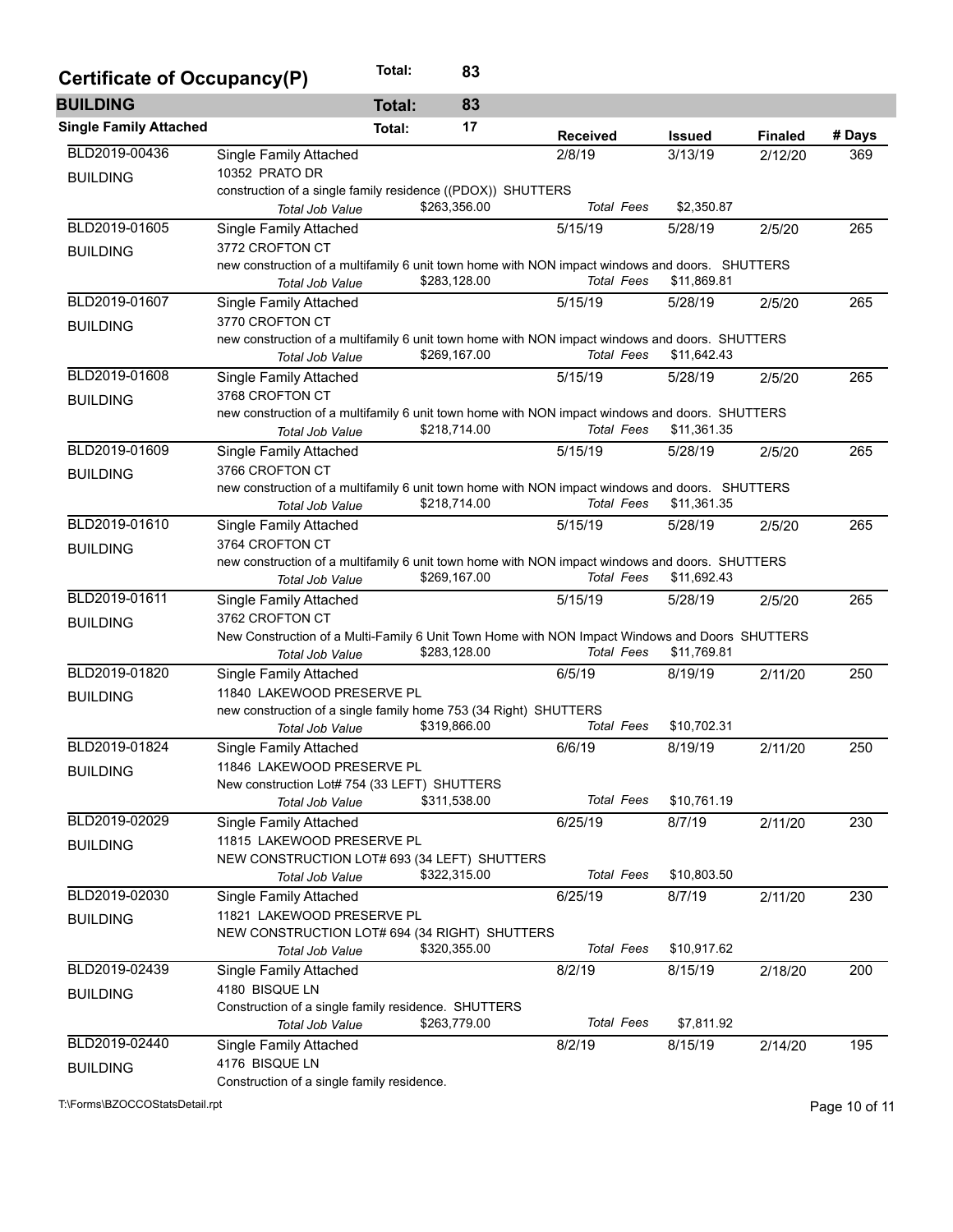| Certificate of Occupancy(P)   |                                                                                                                   | Total:        | 83           |                   |               |                |        |
|-------------------------------|-------------------------------------------------------------------------------------------------------------------|---------------|--------------|-------------------|---------------|----------------|--------|
| <b>BUILDING</b>               |                                                                                                                   | <b>Total:</b> | 83           |                   |               |                |        |
| <b>Single Family Attached</b> |                                                                                                                   | Total:        | 17           | <b>Received</b>   | <b>Issued</b> | <b>Finaled</b> | # Days |
| BLD2019-00436                 | Single Family Attached                                                                                            |               |              | 2/8/19            | 3/13/19       | 2/12/20        | 369    |
| <b>BUILDING</b>               | 10352 PRATO DR                                                                                                    |               |              |                   |               |                |        |
|                               | construction of a single family residence ((PDOX)) SHUTTERS                                                       |               |              |                   |               |                |        |
|                               | Total Job Value                                                                                                   |               | \$263,356.00 | <b>Total Fees</b> | \$2,350.87    |                |        |
| BLD2019-01605                 | <b>Single Family Attached</b>                                                                                     |               |              | 5/15/19           | 5/28/19       | 2/5/20         | 265    |
| <b>BUILDING</b>               | 3772 CROFTON CT                                                                                                   |               |              |                   |               |                |        |
|                               | new construction of a multifamily 6 unit town home with NON impact windows and doors. SHUTTERS<br>Total Job Value |               | \$283,128.00 | <b>Total Fees</b> | \$11,869.81   |                |        |
| BLD2019-01607                 | Single Family Attached                                                                                            |               |              | 5/15/19           | 5/28/19       | 2/5/20         | 265    |
|                               | 3770 CROFTON CT                                                                                                   |               |              |                   |               |                |        |
| <b>BUILDING</b>               | new construction of a multifamily 6 unit town home with NON impact windows and doors. SHUTTERS                    |               |              |                   |               |                |        |
|                               | Total Job Value                                                                                                   |               | \$269,167.00 | <b>Total Fees</b> | \$11,642.43   |                |        |
| BLD2019-01608                 | Single Family Attached                                                                                            |               |              | 5/15/19           | 5/28/19       | 2/5/20         | 265    |
| <b>BUILDING</b>               | 3768 CROFTON CT                                                                                                   |               |              |                   |               |                |        |
|                               | new construction of a multifamily 6 unit town home with NON impact windows and doors. SHUTTERS                    |               |              |                   |               |                |        |
|                               | Total Job Value                                                                                                   |               | \$218,714.00 | <b>Total Fees</b> | \$11,361.35   |                |        |
| BLD2019-01609                 | <b>Single Family Attached</b>                                                                                     |               |              | 5/15/19           | 5/28/19       | 2/5/20         | 265    |
| <b>BUILDING</b>               | 3766 CROFTON CT                                                                                                   |               |              |                   |               |                |        |
|                               | new construction of a multifamily 6 unit town home with NON impact windows and doors. SHUTTERS                    |               |              |                   |               |                |        |
|                               | Total Job Value                                                                                                   |               | \$218,714.00 | <b>Total Fees</b> | \$11,361.35   |                |        |
| BLD2019-01610                 | Single Family Attached                                                                                            |               |              | 5/15/19           | 5/28/19       | 2/5/20         | 265    |
| <b>BUILDING</b>               | 3764 CROFTON CT                                                                                                   |               |              |                   |               |                |        |
|                               | new construction of a multifamily 6 unit town home with NON impact windows and doors. SHUTTERS                    |               | \$269,167.00 | <b>Total Fees</b> | \$11,692.43   |                |        |
| BLD2019-01611                 | Total Job Value                                                                                                   |               |              |                   |               |                |        |
|                               | Single Family Attached<br>3762 CROFTON CT                                                                         |               |              | 5/15/19           | 5/28/19       | 2/5/20         | 265    |
| <b>BUILDING</b>               | New Construction of a Multi-Family 6 Unit Town Home with NON Impact Windows and Doors SHUTTERS                    |               |              |                   |               |                |        |
|                               | Total Job Value                                                                                                   |               | \$283,128.00 | <b>Total Fees</b> | \$11,769.81   |                |        |
| BLD2019-01820                 | Single Family Attached                                                                                            |               |              | 6/5/19            | 8/19/19       | 2/11/20        | 250    |
| <b>BUILDING</b>               | 11840 LAKEWOOD PRESERVE PL                                                                                        |               |              |                   |               |                |        |
|                               | new construction of a single family home 753 (34 Right) SHUTTERS                                                  |               |              |                   |               |                |        |
|                               | Total Job Value                                                                                                   |               | \$319,866.00 | <b>Total Fees</b> | \$10,702.31   |                |        |
| BLD2019-01824                 | Single Family Attached                                                                                            |               |              | 6/6/19            | 8/19/19       | 2/11/20        | 250    |
| <b>BUILDING</b>               | 11846 LAKEWOOD PRESERVE PL                                                                                        |               |              |                   |               |                |        |
|                               | New construction Lot# 754 (33 LEFT) SHUTTERS                                                                      |               |              |                   |               |                |        |
|                               | Total Job Value                                                                                                   |               | \$311,538.00 | <b>Total Fees</b> | \$10,761.19   |                |        |
| BLD2019-02029                 | Single Family Attached                                                                                            |               |              | 6/25/19           | 8/7/19        | 2/11/20        | 230    |
| <b>BUILDING</b>               | 11815 LAKEWOOD PRESERVE PL                                                                                        |               |              |                   |               |                |        |
|                               | NEW CONSTRUCTION LOT# 693 (34 LEFT) SHUTTERS                                                                      |               | \$322,315.00 | <b>Total Fees</b> | \$10,803.50   |                |        |
| BLD2019-02030                 | Total Job Value                                                                                                   |               |              |                   |               |                | 230    |
|                               | Single Family Attached<br>11821 LAKEWOOD PRESERVE PL                                                              |               |              | 6/25/19           | 8/7/19        | 2/11/20        |        |
| <b>BUILDING</b>               | NEW CONSTRUCTION LOT# 694 (34 RIGHT) SHUTTERS                                                                     |               |              |                   |               |                |        |
|                               | Total Job Value                                                                                                   |               | \$320,355.00 | <b>Total Fees</b> | \$10,917.62   |                |        |
| BLD2019-02439                 | Single Family Attached                                                                                            |               |              | 8/2/19            | 8/15/19       | 2/18/20        | 200    |
|                               | 4180 BISQUE LN                                                                                                    |               |              |                   |               |                |        |
| <b>BUILDING</b>               | Construction of a single family residence. SHUTTERS                                                               |               |              |                   |               |                |        |
|                               | Total Job Value                                                                                                   |               | \$263,779.00 | <b>Total Fees</b> | \$7,811.92    |                |        |
| BLD2019-02440                 | Single Family Attached                                                                                            |               |              | 8/2/19            | 8/15/19       | 2/14/20        | 195    |
| <b>BUILDING</b>               | 4176 BISQUE LN                                                                                                    |               |              |                   |               |                |        |
|                               | Construction of a single family residence.                                                                        |               |              |                   |               |                |        |

T:\Forms\BZOCCOStatsDetail.rpt Page 10 of 11